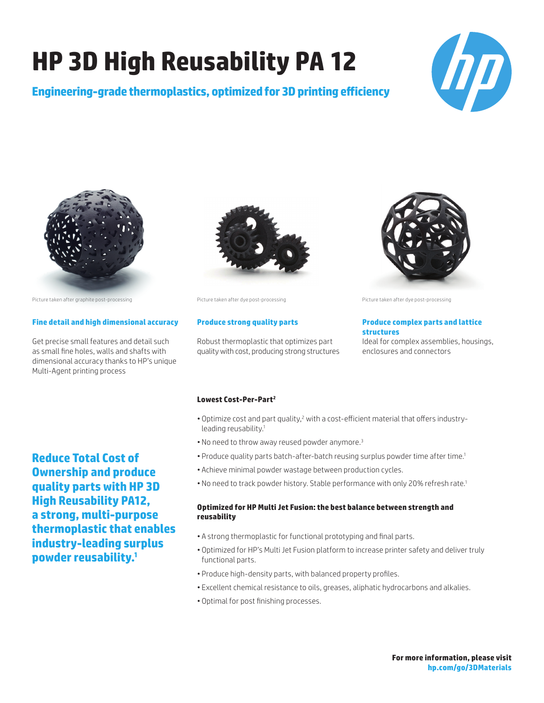# **HP 3D High Reusability PA 12**

**Engineering-grade thermoplastics, optimized for 3D printing efficiency**





Picture taken after graphite post-processing Picture taken after dye post-processing Picture taken after dye post-processing

### **Fine detail and high dimensional accuracy**

Get precise small features and detail such as small fine holes, walls and shafts with dimensional accuracy thanks to HP's unique Multi-Agent printing process

## **Reduce Total Cost of Ownership and produce quality parts with HP 3D High Reusability PA12, a strong, multi-purpose thermoplastic that enables industry-leading surplus powder reusability.1**



#### **Produce strong quality parts**

Robust thermoplastic that optimizes part quality with cost, producing strong structures



#### **Produce complex parts and lattice structures**

Ideal for complex assemblies, housings, enclosures and connectors

#### **Lowest Cost-Per-Part2**

- . Optimize cost and part quality,<sup>2</sup> with a cost-efficient material that offers industryleading reusability.<sup>1</sup>
- No need to throw away reused powder anymore.<sup>3</sup>
- Produce quality parts batch-after-batch reusing surplus powder time after time.<sup>1</sup>
- Achieve minimal powder wastage between production cycles.
- No need to track powder history. Stable performance with only 20% refresh rate.<sup>1</sup>

### **Optimized for HP Multi Jet Fusion: the best balance between strength and reusability**

- A strong thermoplastic for functional prototyping and final parts.
- Optimized for HP's Multi Jet Fusion platform to increase printer safety and deliver truly functional parts.
- Produce high-density parts, with balanced property profiles.
- Excellent chemical resistance to oils, greases, aliphatic hydrocarbons and alkalies.
- Optimal for post finishing processes.